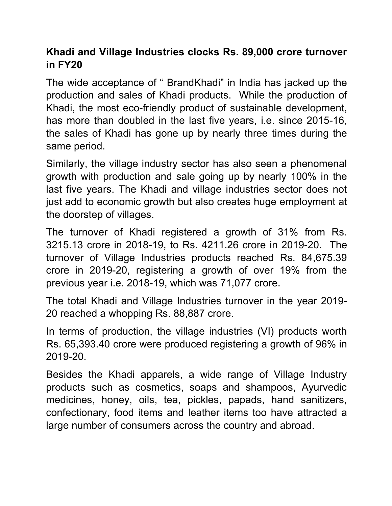# **Khadi and Village Industries clocks Rs.89,000 crore turnover in FY20**

The wide acceptance of " BrandKhadi" in India has jacked up the production and sales of Khadi products. While the production of Khadi, the most eco-friendly product of sustainable development, has more than doubled in the last five years, i.e. since 2015-16, the sales of Khadi has gone up by nearly three times during the same period.

Similarly, the village industry sector has also seen a phenomenal growth with production and sale going up by nearly 100% in the last five years. The Khadi and village industries sector does not just add to economic growth but also creates huge employment at the doorstep of villages.

The turnover of Khadi registered a growth of 31% from Rs. 3215.13 crore in 2018-19, to Rs. 4211.26 crore in 2019-20. The turnover of Village Industries products reached Rs. 84,675.39 crore in 2019-20, registering a growth of over 19% from the previous year i.e. 2018-19, which was 71,077 crore.

The total Khadi and Village Industries turnover in the year 2019- 20 reached a whopping Rs. 88,887 crore.

In terms of production, the village industries (VI) products worth Rs. 65,393.40 crore were produced registering a growth of 96% in 2019-20.

Besides the Khadi apparels, a wide range of Village Industry products such as cosmetics, soaps and shampoos, Ayurvedic medicines, honey, oils, tea, pickles, papads, hand sanitizers, confectionary, food items and leather items too have attracted a large number of consumers across the country and abroad.